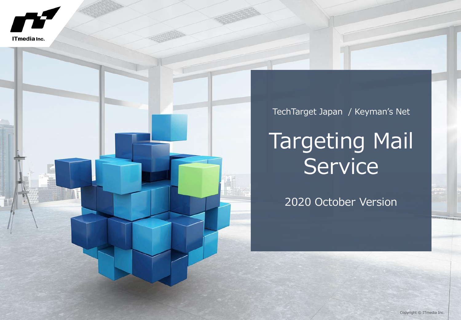



TechTarget Japan / Keyman's Net

# Targeting Mail Service

2020 October Version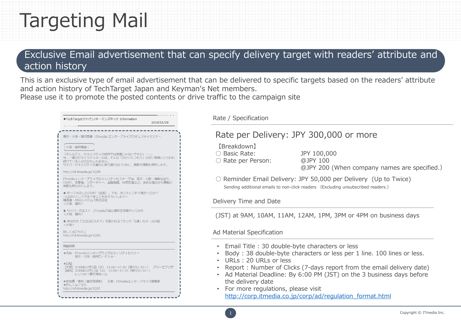### Targeting Mail

### Exclusive Email advertisement that can specify delivery target with readers' attribute and action history

This is an exclusive type of email advertisement that can be delivered to specific targets based on the readers' attribute and action history of TechTarget Japan and Keyman's Net members. Please use it to promote the posted contents or drive traffic to the campaign site

|                                       | ◆TechTargetジャパン/キーマンズネット Information                                                                  | 2018/11/28                                                                           |
|---------------------------------------|-------------------------------------------------------------------------------------------------------|--------------------------------------------------------------------------------------|
|                                       |                                                                                                       |                                                                                      |
|                                       |                                                                                                       | 東京·大阪·福岡開催: ITmedia エンタープライズセキュリティセミナー                                               |
| ! 大阪・福岡開催 !                           |                                                                                                       |                                                                                      |
| 続けている人なのかもしれません。                      | 「そんなこと、セキュリティの世界では常識じゃないですか」 –                                                                        | 今、一番のセキュリティホールは、そんな「分かったつもり」の古い常識にとらわれ<br>サイバーセキュリティの進化に乗り遅れないために、最新の情報を提供します。       |
| http://rd.itmedia.jp/1QSR             |                                                                                                       |                                                                                      |
| 実態を明らかにします。                           |                                                                                                       | ITmediaエンタープライズセキュリティセミナーでは、東京·大阪·福岡を巡り、<br>CSIRT、攻撃者、リサーチャー、金融機関、AI研究者など、多彩な視点から脅威の |
| 講演者:ANAシステムズ株式会社<br><大阪、福岡>           | ●作ってみましたCSIRT(自称)。でも、ホントにこれで良かったの?<br>~CSIRTとしてやるべきことをおさらいしよう~                                        |                                                                                      |
| 〈大阪、福岡〉                               | ● サイバークエスト ITmedia方面に標的型攻撃やってみた                                                                       |                                                                                      |
| <大阪>                                  | ● あなたの「ココロのスキマ」も狙われる?たった「1通」のメールの話                                                                    |                                                                                      |
| 詳しくはこちらし<br>http://rd.itmedia.jp/10SS |                                                                                                       |                                                                                      |
| 開催概要                                  |                                                                                                       |                                                                                      |
|                                       | ★名称: ITmediaエンタープライズセキュリティセミナー<br>東京・大阪・福岡ロードショー                                                      |                                                                                      |
| ★日程:                                  | 【大阪】2018年12月5日(水) 13:00~17:40(受付12:30~)<br>【福岡】2018年12月11日 (火) 13:00~17:30 (受付12:30~)<br>レソラNTT夢天神ホール | ブリーゼプラザ                                                                              |
| ★詳しくはこちら<br>http://rd.itmedia.jp/1QST | ★参加費:無料 (事前登録制) 主催: ITmediaエンタープライズ編集部                                                                |                                                                                      |

Rate / Specification

### Rate per Delivery: JPY 300,000 or more

【Breakdown】

○ Rate per Person: @JPY 100

○ Basic Rate: JPY 100,000 @JPY 200 (When company names are specified.)

○ Reminder Email Delivery: JPY 50,000 per Delivery (Up to Twice) Sending additional emails to non-click readers (Excluding unsubscribed readers.)

#### Delivery Time and Date

(JST) at 9AM, 10AM, 11AM, 12AM, 1PM, 3PM or 4PM on business days

#### Ad Material Specification

- Email Title : 30 double-byte characters or less
- Body : 38 double-byte characters or less per 1 line. 100 lines or less.
- URLs : 20 URLs or less
- Report : Number of Clicks (7-days report from the email delivery date)
- Ad Material Deadline: By 6:00 PM (JST) on the 3 business days before the delivery date
- For more regulations, please visit [http://corp.itmedia.co.jp/corp/ad/regulation\\_format.html](http://corp.itmedia.co.jp/corp/ad/regulation_format.html)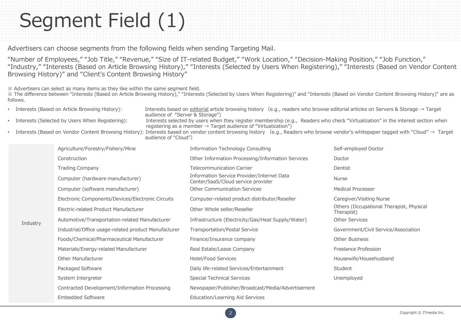## Segment Field (1)

Advertisers can choose segments from the following fields when sending Targeting Mail.

"Number of Employees," "Job Title," "Revenue," "Size of IT-related Budget," "Work Location," "Decision-Making Position," "Job Function," "Industry," "Interests (Based on Article Browsing History)," "Interests (Selected by Users When Registering)," "Interests (Based on Vendor Content Browsing History)" and "Client's Content Browsing History"

※ Advertisers can select as many items as they like within the same segment field.

**Industry** 

※ The difference between "Interests (Based on Article Browsing History)," "Interests (Selected by Users When Registering)" and "Interests (Based on Vendor Content Browsing History)" are as follows.

- Interests (Based on Article Browsing History): Interests based on editorial article browsing history (e.g., readers who browse editorial articles on Servers & Storage  $\rightarrow$  Target audience of "Server & Storage")
	- Interests (Selected by Users When Registering): Interests selected by users when they register membership (e.g., Readers who check "Virtualization" in the interest section when registering as a member  $\rightarrow$  Target audience of "Virtualization")
	- Interests (Based on Vendor Content Browsing History): Interests based on vendor content browsing history (e.g., Readers who browse vendor's whitepaper tagged with "Cloud" → Target audience of "Cloud")

|  | Agriculture/Forestry/Fishery/Mine                    | <b>Information Technology Consulting</b>                                         | Self-employed Doctor                                   |
|--|------------------------------------------------------|----------------------------------------------------------------------------------|--------------------------------------------------------|
|  | Construction                                         | Other Information Processing/Information Services                                | Doctor                                                 |
|  | <b>Trading Company</b>                               | <b>Telecommunication Carrier</b>                                                 | Dentist                                                |
|  | Computer (hardware manufacturer)                     | Information Service Provider/Internet Data<br>Center/SaaS/Cloud service provider | <b>Nurse</b>                                           |
|  | Computer (software manufacturer)                     | <b>Other Communication Services</b>                                              | <b>Medical Processor</b>                               |
|  | Electronic Components/Devices/Electronic Circuits    | Computer-related product distributor/Reseller                                    | Caregiver/Visiting Nurse                               |
|  | Electric-related Product Manufacturer                | Other Whole seller/Reseller                                                      | Others (Occupational Therapist, Physical<br>Therapist) |
|  | Automotive/Transportation-related Manufacturer       | Infrastructure (Electricity/Gas/Heat Supply/Water)                               | <b>Other Services</b>                                  |
|  | Industrial/Office usage-related product Manufacturer | <b>Transportation/Postal Service</b>                                             | Government/Civil Service/Association                   |
|  | Foods/Chemical/Pharmaceutical Manufacturer           | Finance/Insurance company                                                        | <b>Other Business</b>                                  |
|  | Materials/Energy-related Manufacturer                | Real Estate/Lease Company                                                        | Freelance Profession                                   |
|  | Other Manufacturer                                   | Hotel/Food Services                                                              | Housewife/Househusband                                 |
|  | Packaged Software                                    | Daily life-related Services/Entertainment                                        | Student                                                |
|  | System Intergreter                                   | <b>Special Technical Services</b>                                                | Unemployed                                             |
|  | Contracted Development/Information Processing        | Newspaper/Publisher/Broadcast/Media/Advertisement                                |                                                        |
|  | <b>Embedded Software</b>                             | Education/Learning Aid Services                                                  |                                                        |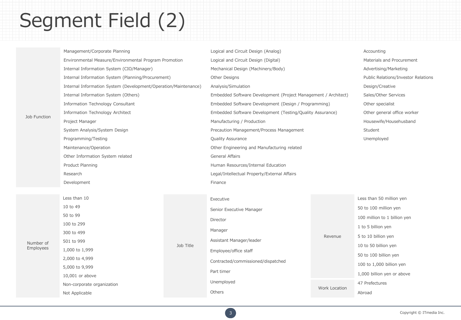## Segment Field (2)

|              | Management/Corporate Planning                                   |           | Logical and Circuit Design (Analog)                                                                            |         | Accounting                          |
|--------------|-----------------------------------------------------------------|-----------|----------------------------------------------------------------------------------------------------------------|---------|-------------------------------------|
| Job Function | Environmental Measure/Environmental Program Promotion           |           | Logical and Circuit Design (Digital)                                                                           |         | Materials and Procurement           |
|              | Internal Information System (CIO/Manager)                       |           | Mechanical Design (Machinery/Body)                                                                             |         | Advertising/Marketing               |
|              | Internal Information System (Planning/Procurement)              |           | Other Designs                                                                                                  |         | Public Relations/Investor Relations |
|              | Internal Information System (Development/Operation/Maintenance) |           | Analysis/Simulation                                                                                            |         | Design/Creative                     |
|              | Internal Information System (Others)                            |           | Embedded Software Development (Project Management / Architect)                                                 |         | Sales/Other Services                |
|              | Information Technology Consultant                               |           | Embedded Software Development (Design / Programming)                                                           |         | Other specialist                    |
|              | Information Technology Architect                                |           | Embedded Software Development (Testing/Quality Assurance)                                                      |         | Other general office worker         |
|              | Project Manager                                                 |           | Manufacturing / Production                                                                                     |         | Housewife/Househusband              |
|              | System Analysis/System Design                                   |           | Precaution Management/Process Management                                                                       |         | Student                             |
|              | Programming/Testing                                             |           | Quality Assurance                                                                                              |         | Unemployed                          |
|              | Maintenance/Operation                                           |           | Other Engineering and Manufacturing related                                                                    |         |                                     |
|              | Other Information System related                                |           | <b>General Affairs</b>                                                                                         |         |                                     |
|              | Product Planning                                                |           | Human Resources/Internal Education                                                                             |         |                                     |
|              | Research                                                        |           | Legal/Intellectual Property/External Affairs                                                                   |         |                                     |
|              | Development                                                     |           | Finance                                                                                                        |         |                                     |
|              |                                                                 |           |                                                                                                                |         |                                     |
|              | Less than 10                                                    |           | Executive                                                                                                      |         | Less than 50 million yen            |
|              | 10 to 49                                                        | Job Title | Senior Executive Manager                                                                                       | Revenue | 50 to 100 million yen               |
|              | 50 to 99                                                        |           | Director<br>Manager<br>Assistant Manager/leader<br>Employee/office staff<br>Contracted/commissioned/dispatched |         | 100 million to 1 billion yen        |
|              | 100 to 299                                                      |           |                                                                                                                |         | 1 to 5 billion yen                  |
|              | 300 to 499                                                      |           |                                                                                                                |         | 5 to 10 billion yen                 |
| Number of    | 501 to 999                                                      |           |                                                                                                                |         | 10 to 50 billion yen                |
| Employees    | 1,000 to 1,999                                                  |           |                                                                                                                |         | 50 to 100 billion yen               |
|              | 2,000 to 4,999                                                  |           |                                                                                                                |         | 100 to 1,000 billion yen            |
|              | 5,000 to 9,999                                                  |           | Part timer                                                                                                     |         |                                     |
|              | $10.001$ or above                                               |           |                                                                                                                |         | 1,000 billion yen or above          |

10,001 or above

Non-corporate organization

Not Applicable

Work Location 47 Prefectures Abroad

Unemployed **Others**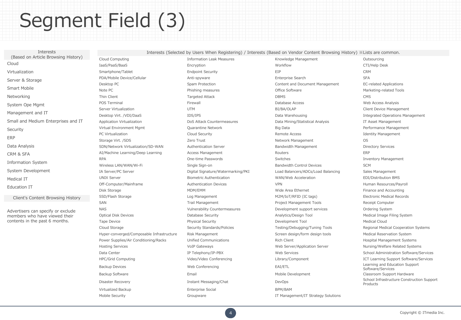## Segment Field (3)

Interests (Based on Article Browsing History) Cloud Virtualization Server & Storage Smart Mobile Networking System Ope Mgmt Management and IT Small and Medium Enterprises and IT **Security** ERP Data Analysis CRM & SFA Information System System Development Medical IT Education IT Client's Content Browsing History Advertisers can specify or exclude members who have viewed their contents in the past 6 months.

Cloud Computing The Cloud Computing Cloud Computing Information Leak Measures Cutsourcing Cloud Computing Cutsourcing IaaS/PaaS/BaaS Encryption Workflow CTI/Help Desk Smartphone/Tablet **Endpoint Security** EIP EIP **EIP** CRM PDA/Mobile Device/Cellular **Anti-spyware** Anti-spyware Enterprise Search SFA Desktop PC **Spam Protection** Content and Document Management **EC-related Applications** Content and Document Management Note PC **Note PC Phishing measures Phishing measures Cffice Software CFFICE Software** Marketing-related Tools Thin Client Targeted Attack DBMS CMS POS Terminal **Exercise Secure Access** POS Terminal **Firewall** POS Terminal **POS Terminal** Web Access Analysis Server Virtualization **Server Virtualization** UTM UTM BI/BA/OLAP BI/BA/OLAP Client Device Management Desktop Virt. /VDI/DaaS IDS/IPS Data Warehousing Integrated Operations Management Application Virtualization **DoS Attack Countermeasures** Data Mining/Statistical Analysis **IT Asset Management** Virtual Environment Mgmt **Cuarantine Network Cuarantine Network** Big Data **Big Data** Performance Management PC Virtualization **Example 2018** Cloud Security Cloud Security Remote Access **Identity Management** Storage Virt. /SDS Zero Trust Network Management OS SDN/Network Virtualization/SD-WAN Authentication Server Bandwidth Management Directory Services AI/Machine Learning/Deep Learning **Access Management** Access Management Routers **ERP** RPA **Suite Construction Construction** One-time Passwords Switches Switches Switches **Switches** Inventory Management Wireless LAN/WAN/Wi-Fi Single Sign-on Single Sign-on Bandwidth Control Devices SCM IA Server/PC Server Digital Signature/Watermarking/PKI Load Balancers/ADCs/Load Balancing Sales Management UNIX Server **Biometric Authentication** WAN/Web Acceleration EDI/Distribution BMS Off-Computer/Mainframe **Authentication Devices** VPN VPN VEN Human Resources/Payroll Disk Storage Transform MDM/EMM MOM/EMM Wide Area Ethernet Transformation of Finance and Accounting SSD/Flash Storage **Log Management** Log Management M2M/IoT/RFID (IC tags) Electronic Medical Records SAN SAN Trail Management Trail Management Project Management Tools Receipt Computer NAS NAS STATES Vulnerability Countermeasures Development support services Ordering System Optical Disk Devices **Database Security Community Analytics**/Design Tool **Analytics/Design Tool** Medical Image Filing System Tape Device **Physical Security** Physical Security **Development Tool** Development Tool Medical Cloud Hyper-converged/Composable Infrastructure Risk Management Screen design/form design tools Medical Reservation System Power Supplies/Air Conditioning/Racks Unified Communications Rich Client Rich Client Hospital Management Systems Hosting Services **Multiple Services** VoIP Gateways Voich Cateways Web Server/Application Server Nursing/Welfare Related Systems Backup Devices **State Conferencing Conferencing Conferencing** EAI/ETL Conferencing EAI/ETL Conferencing and Education Support Backup Software **Email** Email Email Email And Mobile Development Classroom Support Hardware Virtualized Backup Enterprise Social BPM/BAM

Interests (Selected by Users When Registering) / Interests (Based on Vendor Content Browsing History) ※Lists are common.

Mobile Security **Security** Croupware Groupware **IT Management/IT Strategy Solutions** 

Cloud Storage Security Standards/Policies Testing/Debugging/Tuning Tools Regional Medical Cooperation Systems Data Center **IP Telephony/IP-PBX** Web Services School Administration Software/Services School Administration Software/Services HPC/Grid Computing The Support Software/Services Video/Video Conferencing Library/Component Tearning Support Software/Services Software/Services Disaster Recovery **Example 20 and School Infrastructure Construction Support** DevOps School Infrastructure Construction Support Products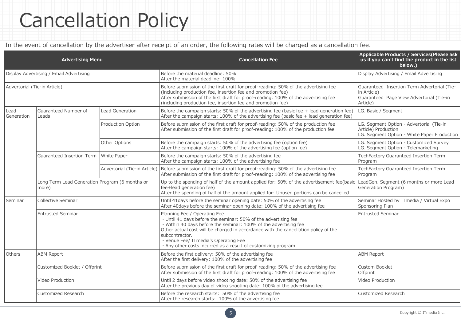### Cancellation Policy

In the event of cancellation by the advertiser after receipt of an order, the following rates will be charged as a cancellation fee.

| <b>Advertising Menu</b>                                                 |                                                         |                              | <b>Cancellation Fee</b>                                                                                                                                                                                                                                                                                                                                                              | Applicable Products / Services(Please ask<br>us if you can't find the product in the list<br>below.)               |  |
|-------------------------------------------------------------------------|---------------------------------------------------------|------------------------------|--------------------------------------------------------------------------------------------------------------------------------------------------------------------------------------------------------------------------------------------------------------------------------------------------------------------------------------------------------------------------------------|--------------------------------------------------------------------------------------------------------------------|--|
| Display Advertising / Email Advertising<br>Advertorial (Tie-in Article) |                                                         |                              | Before the material deadline: 50%<br>After the material deadline: 100%                                                                                                                                                                                                                                                                                                               | Display Advertising / Email Advertising                                                                            |  |
|                                                                         |                                                         |                              | Before submission of the first draft for proof-reading: 50% of the advertising fee<br>(including production fee, insertion fee and promotion fee)<br>After submission of the first draft for proof-reading: 100% of the advertising fee<br>(including production fee, insertion fee and promotion fee)                                                                               | Guaranteed Insertion Term Advertorial (Tie-<br>in Article)<br>Guaranteed Page View Advertorial (Tie-in<br>Article) |  |
| Lead<br>Generation                                                      | Guaranteed Number of<br>Leads                           | <b>Lead Generation</b>       | Before the campaign starts: $50\%$ of the advertising fee (basic fee + lead generation fee)<br>After the campaign starts: $100\%$ of the advertising fee (basic fee + lead generation fee)                                                                                                                                                                                           | LG. Basic / Segment                                                                                                |  |
|                                                                         |                                                         | Production Option            | Before submission of the first draft for proof-reading: 50% of the production fee<br>After submission of the first draft for proof-reading: 100% of the production fee                                                                                                                                                                                                               | LG. Segment Option - Advertorial (Tie-in<br>Article) Production<br>LG. Segment Option - White Paper Production     |  |
|                                                                         |                                                         | Other Options                | Before the campaign starts: 50% of the advertising fee (option fee)<br>After the campaign starts: 100% of the advertising fee (option fee)                                                                                                                                                                                                                                           | LG. Segment Option - Customized Survey<br>LG. Segment Option - Telemarketing                                       |  |
|                                                                         | Guaranteed Insertion Term                               | White Paper                  | Before the campaign starts: 50% of the advertising fee<br>After the campaign starts: 100% of the advertising fee                                                                                                                                                                                                                                                                     | TechFactory Guaranteed Insertion Term<br>Program                                                                   |  |
|                                                                         |                                                         | Advertorial (Tie-in Article) | Before submission of the first draft for proof-reading: 50% of the advertising fee<br>After submission of the first draft for proof-reading: 100% of the advertising fee                                                                                                                                                                                                             | TechFactory Guaranteed Insertion Term<br>Program                                                                   |  |
|                                                                         | Long Term Lead Generation Program (6 months or<br>(more |                              | Up to the spending of half of the amount applied for: 50% of the advertisement fee(basic<br>fee+lead generation fee)<br>After the spending of half of the amount applied for: Unused portions can be cancelled                                                                                                                                                                       | LeadGen. Segment (6 months or more Lead<br>Generation Program)                                                     |  |
| Seminar                                                                 | Collective Seminar                                      |                              | Until 41 days before the seminar opening date: 50% of the advertising fee<br>After 40days before the seminar opening date: 100% of the advertising fee                                                                                                                                                                                                                               | Seminar Hosted by ITmedia / Virtual Expo<br>Sponsoring Plan                                                        |  |
|                                                                         | Entrusted Seminar                                       |                              | Planning Fee / Operating Fee<br>· Until 41 days before the seminar: 50% of the advertising fee<br>· Within 40 days before the seminar: 100% of the advertising fee<br>Other actual cost will be charged in accordance with the cancellation policy of the<br>subcontractor.<br>· Venue Fee/ ITmedia's Operating Fee<br>· Any other costs incurred as a result of customizing program | <b>Entrusted Seminar</b>                                                                                           |  |
| Others                                                                  | <b>ABM Report</b>                                       |                              | Before the first delivery: 50% of the advertising fee<br>After the first delivery: 100% of the advertising fee                                                                                                                                                                                                                                                                       | <b>ABM Report</b>                                                                                                  |  |
|                                                                         | Customized Booklet / Offprint                           |                              | Before submission of the first draft for proof-reading: 50% of the advertising fee<br>After submission of the first draft for proof-reading: 100% of the advertising fee                                                                                                                                                                                                             | Custom Booklet<br>Offprint                                                                                         |  |
|                                                                         | Video Production                                        |                              | Until 2 days before video shooting date: 50% of the advertising fee<br>After the previous day of video shooting date: 100% of the advertising fee                                                                                                                                                                                                                                    | Video Production                                                                                                   |  |
|                                                                         | <b>Customized Research</b>                              |                              | Before the research starts: 50% of the advertising fee<br>After the research starts: 100% of the advertising fee                                                                                                                                                                                                                                                                     | Customized Research                                                                                                |  |